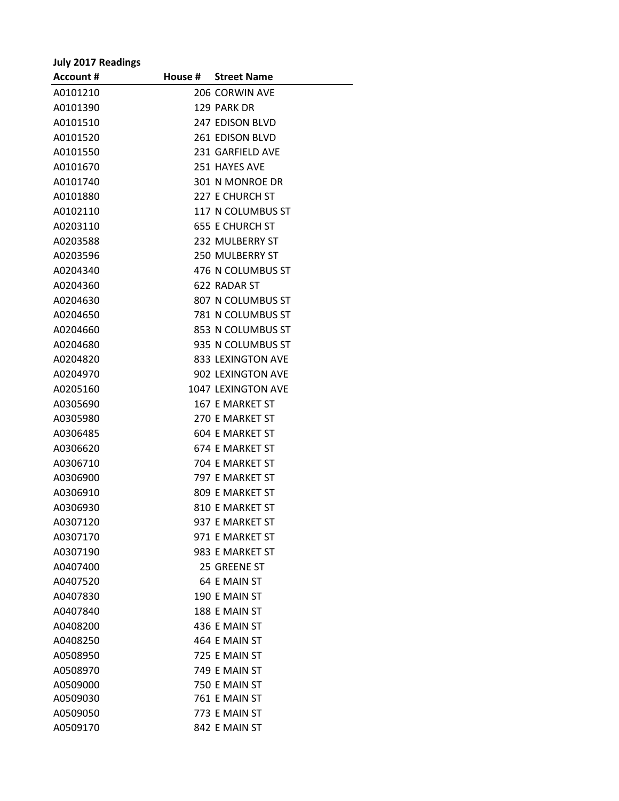| <b>July 2017 Readings</b> |                        |
|---------------------------|------------------------|
| <b>Account #</b>          | House # Street Name    |
| A0101210                  | 206 CORWIN AVE         |
| A0101390                  | 129 PARK DR            |
| A0101510                  | 247 EDISON BLVD        |
| A0101520                  | <b>261 EDISON BLVD</b> |
| A0101550                  | 231 GARFIELD AVE       |
| A0101670                  | 251 HAYES AVE          |
| A0101740                  | 301 N MONROE DR        |
| A0101880                  | 227 E CHURCH ST        |
| A0102110                  | 117 N COLUMBUS ST      |
| A0203110                  | <b>655 E CHURCH ST</b> |
| A0203588                  | 232 MULBERRY ST        |
| A0203596                  | <b>250 MULBERRY ST</b> |
| A0204340                  | 476 N COLUMBUS ST      |
| A0204360                  | 622 RADAR ST           |
| A0204630                  | 807 N COLUMBUS ST      |
| A0204650                  | 781 N COLUMBUS ST      |
| A0204660                  | 853 N COLUMBUS ST      |
| A0204680                  | 935 N COLUMBUS ST      |
| A0204820                  | 833 LEXINGTON AVE      |
| A0204970                  | 902 LEXINGTON AVE      |
| A0205160                  | 1047 LEXINGTON AVE     |
| A0305690                  | 167 E MARKET ST        |
| A0305980                  | 270 E MARKET ST        |
| A0306485                  | <b>604 E MARKET ST</b> |
| A0306620                  | 674 E MARKET ST        |
| A0306710                  | 704 E MARKET ST        |
| A0306900                  | 797 E MARKET ST        |
| A0306910                  | 809 E MARKET ST        |
| A0306930                  | 810 E MARKET ST        |
| A0307120                  | 937 E MARKET ST        |
| A0307170                  | 971 E MARKET ST        |
| A0307190                  | 983 E MARKET ST        |
| A0407400                  | 25 GREENE ST           |
| A0407520                  | 64 E MAIN ST           |
| A0407830                  | 190 E MAIN ST          |
| A0407840                  | 188 E MAIN ST          |
| A0408200                  | 436 E MAIN ST          |
| A0408250                  | 464 E MAIN ST          |
| A0508950                  | 725 E MAIN ST          |
| A0508970                  | 749 E MAIN ST          |
| A0509000                  | 750 E MAIN ST          |
| A0509030                  | 761 E MAIN ST          |
| A0509050                  | 773 E MAIN ST          |
| A0509170                  | 842 E MAIN ST          |

 $\overline{a}$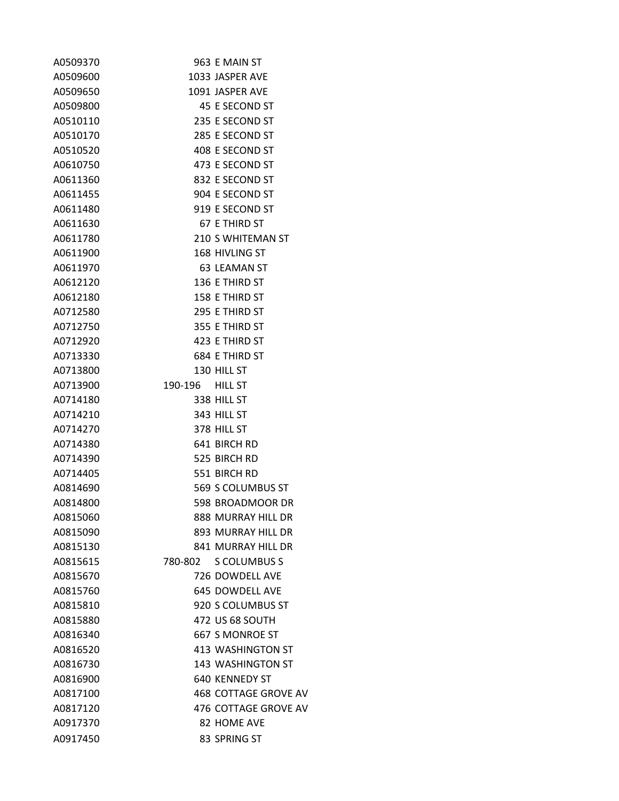| A0509370 |                 | 963 E MAIN ST        |
|----------|-----------------|----------------------|
| A0509600 |                 | 1033 JASPER AVE      |
| A0509650 |                 | 1091 JASPER AVE      |
| A0509800 |                 | 45 E SECOND ST       |
| A0510110 |                 | 235 E SECOND ST      |
| A0510170 |                 | 285 E SECOND ST      |
| A0510520 |                 | 408 E SECOND ST      |
| A0610750 |                 | 473 E SECOND ST      |
| A0611360 |                 | 832 E SECOND ST      |
| A0611455 |                 | 904 E SECOND ST      |
| A0611480 |                 | 919 E SECOND ST      |
| A0611630 |                 | 67 E THIRD ST        |
| A0611780 |                 | 210 S WHITEMAN ST    |
| A0611900 |                 | 168 HIVLING ST       |
| A0611970 |                 | 63 LEAMAN ST         |
| A0612120 |                 | 136 E THIRD ST       |
| A0612180 |                 | 158 E THIRD ST       |
| A0712580 |                 | 295 E THIRD ST       |
| A0712750 |                 | 355 E THIRD ST       |
| A0712920 |                 | 423 E THIRD ST       |
| A0713330 |                 | 684 E THIRD ST       |
| A0713800 |                 | 130 HILL ST          |
| A0713900 | 190-196 HILL ST |                      |
| A0714180 |                 | 338 HILL ST          |
| A0714210 |                 | 343 HILL ST          |
| A0714270 |                 | 378 HILL ST          |
| A0714380 |                 | 641 BIRCH RD         |
| A0714390 |                 | 525 BIRCH RD         |
| A0714405 |                 | 551 BIRCH RD         |
| A0814690 |                 | 569 S COLUMBUS ST    |
| A0814800 |                 | 598 BROADMOOR DR     |
| A0815060 |                 | 888 MURRAY HILL DR   |
| A0815090 |                 | 893 MURRAY HILL DR   |
| A0815130 |                 | 841 MURRAY HILL DR   |
| A0815615 | 780-802         | <b>S COLUMBUS S</b>  |
| A0815670 |                 | 726 DOWDELL AVE      |
| A0815760 |                 | 645 DOWDELL AVE      |
| A0815810 |                 | 920 S COLUMBUS ST    |
| A0815880 |                 | 472 US 68 SOUTH      |
| A0816340 |                 | 667 S MONROE ST      |
| A0816520 |                 | 413 WASHINGTON ST    |
| A0816730 |                 | 143 WASHINGTON ST    |
| A0816900 |                 | 640 KENNEDY ST       |
| A0817100 |                 | 468 COTTAGE GROVE AV |
| A0817120 |                 | 476 COTTAGE GROVE AV |
| A0917370 |                 | 82 HOME AVE          |
| A0917450 |                 | 83 SPRING ST         |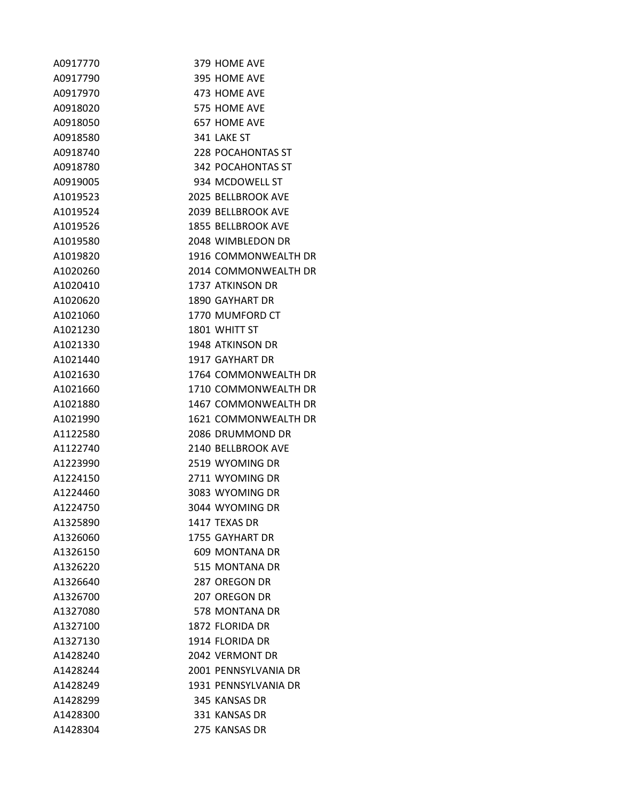| A0917770 | 379 HOME AVE              |
|----------|---------------------------|
| A0917790 | 395 HOME AVE              |
| A0917970 | 473 HOME AVE              |
| A0918020 | 575 HOME AVE              |
| A0918050 | 657 HOME AVE              |
| A0918580 | 341 LAKE ST               |
| A0918740 | 228 POCAHONTAS ST         |
| A0918780 | 342 POCAHONTAS ST         |
| A0919005 | 934 MCDOWELL ST           |
| A1019523 | <b>2025 BELLBROOK AVE</b> |
| A1019524 | <b>2039 BELLBROOK AVE</b> |
| A1019526 | <b>1855 BELLBROOK AVE</b> |
| A1019580 | 2048 WIMBLEDON DR         |
| A1019820 | 1916 COMMONWEALTH DR      |
| A1020260 | 2014 COMMONWEALTH DR      |
| A1020410 | 1737 ATKINSON DR          |
| A1020620 | 1890 GAYHART DR           |
| A1021060 | 1770 MUMFORD CT           |
| A1021230 | 1801 WHITT ST             |
| A1021330 | 1948 ATKINSON DR          |
| A1021440 | 1917 GAYHART DR           |
| A1021630 | 1764 COMMONWEALTH DR      |
| A1021660 | 1710 COMMONWEALTH DR      |
| A1021880 | 1467 COMMONWEALTH DR      |
| A1021990 | 1621 COMMONWEALTH DR      |
| A1122580 | 2086 DRUMMOND DR          |
| A1122740 | 2140 BELLBROOK AVE        |
| A1223990 | 2519 WYOMING DR           |
| A1224150 | 2711 WYOMING DR           |
| A1224460 | 3083 WYOMING DR           |
| A1224750 | 3044 WYOMING DR           |
| A1325890 | 1417 TEXAS DR             |
| A1326060 | 1755 GAYHART DR           |
| A1326150 | 609 MONTANA DR            |
| A1326220 | 515 MONTANA DR            |
| A1326640 | 287 OREGON DR             |
| A1326700 | 207 OREGON DR             |
| A1327080 | 578 MONTANA DR            |
| A1327100 | 1872 FLORIDA DR           |
| A1327130 | 1914 FLORIDA DR           |
| A1428240 | 2042 VERMONT DR           |
| A1428244 | 2001 PENNSYLVANIA DR      |
| A1428249 | 1931 PENNSYLVANIA DR      |
| A1428299 | 345 KANSAS DR             |
| A1428300 | 331 KANSAS DR             |
| A1428304 | 275 KANSAS DR             |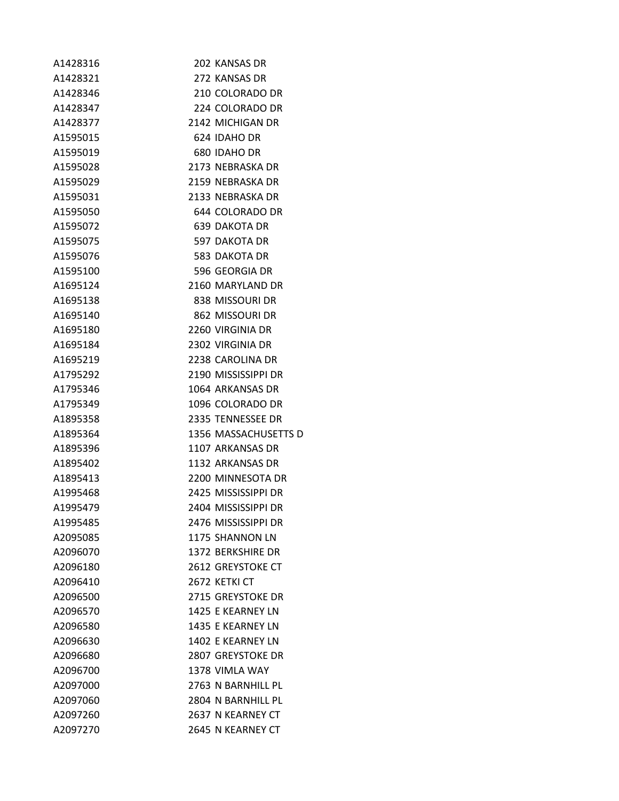| A1428316 | 202 KANSAS DR            |
|----------|--------------------------|
| A1428321 | 272 KANSAS DR            |
| A1428346 | 210 COLORADO DR          |
| A1428347 | 224 COLORADO DR          |
| A1428377 | 2142 MICHIGAN DR         |
| A1595015 | 624 IDAHO DR             |
| A1595019 | 680 IDAHO DR             |
| A1595028 | 2173 NEBRASKA DR         |
| A1595029 | 2159 NEBRASKA DR         |
| A1595031 | 2133 NEBRASKA DR         |
| A1595050 | 644 COLORADO DR          |
| A1595072 | <b>639 DAKOTA DR</b>     |
| A1595075 | 597 DAKOTA DR            |
| A1595076 | 583 DAKOTA DR            |
| A1595100 | 596 GEORGIA DR           |
| A1695124 | 2160 MARYLAND DR         |
| A1695138 | 838 MISSOURI DR          |
| A1695140 | 862 MISSOURI DR          |
| A1695180 | 2260 VIRGINIA DR         |
| A1695184 | 2302 VIRGINIA DR         |
| A1695219 | 2238 CAROLINA DR         |
| A1795292 | 2190 MISSISSIPPI DR      |
| A1795346 | 1064 ARKANSAS DR         |
| A1795349 | 1096 COLORADO DR         |
| A1895358 | 2335 TENNESSEE DR        |
| A1895364 | 1356 MASSACHUSETTS D     |
| A1895396 | 1107 ARKANSAS DR         |
| A1895402 | 1132 ARKANSAS DR         |
| A1895413 | 2200 MINNESOTA DR        |
| A1995468 | 2425 MISSISSIPPI DR      |
| A1995479 | 2404 MISSISSIPPI DR      |
| A1995485 | 2476 MISSISSIPPI DR      |
| A2095085 | 1175 SHANNON LN          |
| A2096070 | 1372 BERKSHIRE DR        |
| A2096180 | 2612 GREYSTOKE CT        |
| A2096410 | 2672 KETKI CT            |
| A2096500 | 2715 GREYSTOKE DR        |
| A2096570 | 1425 E KEARNEY LN        |
| A2096580 | 1435 E KEARNEY LN        |
| A2096630 | 1402 E KEARNEY LN        |
| A2096680 | <b>2807 GREYSTOKE DR</b> |
| A2096700 | 1378 VIMLA WAY           |
| A2097000 | 2763 N BARNHILL PL       |
| A2097060 | 2804 N BARNHILL PL       |
| A2097260 | 2637 N KEARNEY CT        |
| A2097270 | 2645 N KEARNEY CT        |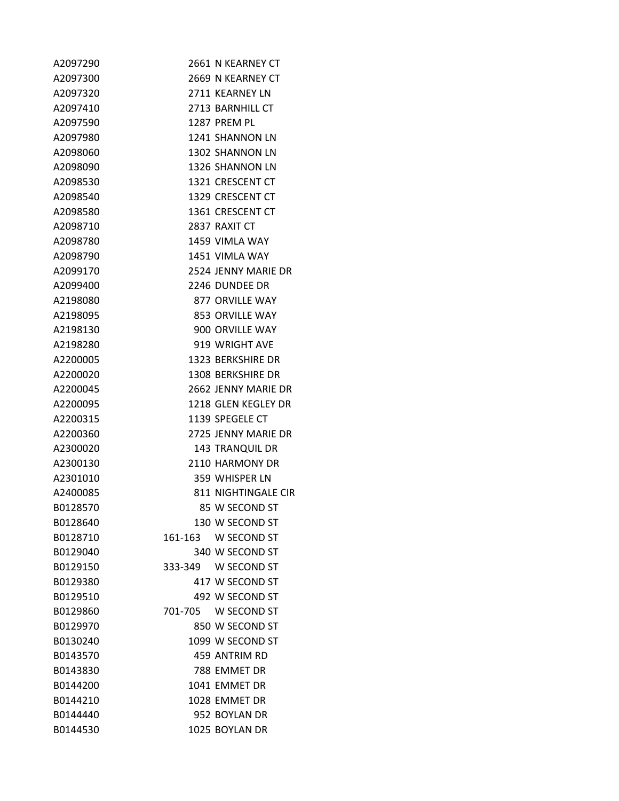| A2097290 | 2661 N KEARNEY CT      |
|----------|------------------------|
| A2097300 | 2669 N KEARNEY CT      |
| A2097320 | 2711 KEARNEY LN        |
| A2097410 | 2713 BARNHILL CT       |
| A2097590 | 1287 PREM PL           |
| A2097980 | 1241 SHANNON LN        |
| A2098060 | 1302 SHANNON LN        |
| A2098090 | 1326 SHANNON LN        |
| A2098530 | 1321 CRESCENT CT       |
| A2098540 | 1329 CRESCENT CT       |
| A2098580 | 1361 CRESCENT CT       |
| A2098710 | 2837 RAXIT CT          |
| A2098780 | 1459 VIMLA WAY         |
| A2098790 | 1451 VIMLA WAY         |
| A2099170 | 2524 JENNY MARIE DR    |
| A2099400 | 2246 DUNDEE DR         |
| A2198080 | 877 ORVILLE WAY        |
| A2198095 | 853 ORVILLE WAY        |
| A2198130 | 900 ORVILLE WAY        |
| A2198280 | 919 WRIGHT AVE         |
| A2200005 | 1323 BERKSHIRE DR      |
| A2200020 | 1308 BERKSHIRE DR      |
| A2200045 | 2662 JENNY MARIE DR    |
| A2200095 | 1218 GLEN KEGLEY DR    |
| A2200315 | 1139 SPEGELE CT        |
| A2200360 | 2725 JENNY MARIE DR    |
| A2300020 | <b>143 TRANQUIL DR</b> |
| A2300130 | 2110 HARMONY DR        |
| A2301010 | 359 WHISPER LN         |
| A2400085 | 811 NIGHTINGALE CIR    |
| B0128570 | 85 W SECOND ST         |
| B0128640 | 130 W SECOND ST        |
| B0128710 | 161-163 W SECOND ST    |
| B0129040 | 340 W SECOND ST        |
| B0129150 | 333-349 W SECOND ST    |
| B0129380 | 417 W SECOND ST        |
| B0129510 | 492 W SECOND ST        |
| B0129860 | 701-705 W SECOND ST    |
| B0129970 | 850 W SECOND ST        |
| B0130240 | 1099 W SECOND ST       |
| B0143570 | 459 ANTRIM RD          |
| B0143830 | 788 EMMET DR           |
| B0144200 | 1041 EMMET DR          |
| B0144210 | 1028 EMMET DR          |
| B0144440 | 952 BOYLAN DR          |
| B0144530 | 1025 BOYLAN DR         |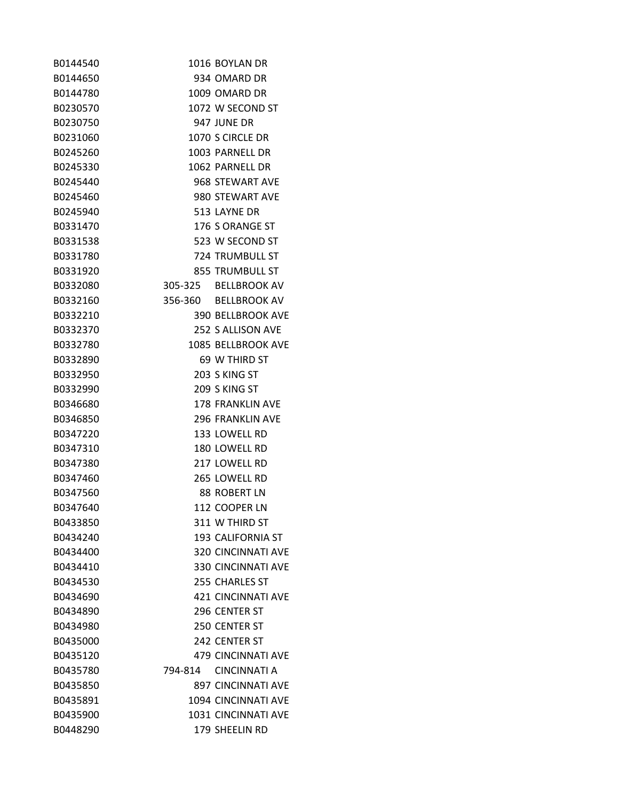| B0144540 |         | 1016 BOYLAN DR            |
|----------|---------|---------------------------|
| B0144650 |         | 934 OMARD DR              |
| B0144780 |         | 1009 OMARD DR             |
| B0230570 |         | 1072 W SECOND ST          |
| B0230750 |         | 947 JUNE DR               |
| B0231060 |         | 1070 S CIRCLE DR          |
| B0245260 |         | 1003 PARNELL DR           |
| B0245330 |         | 1062 PARNELL DR           |
| B0245440 |         | 968 STEWART AVE           |
| B0245460 |         | 980 STEWART AVE           |
| B0245940 |         | 513 LAYNE DR              |
| B0331470 |         | 176 S ORANGE ST           |
| B0331538 |         | 523 W SECOND ST           |
| B0331780 |         | 724 TRUMBULL ST           |
| B0331920 |         | 855 TRUMBULL ST           |
| B0332080 |         | 305-325 BELLBROOK AV      |
| B0332160 |         | 356-360 BELLBROOK AV      |
| B0332210 |         | <b>390 BELLBROOK AVE</b>  |
| B0332370 |         | 252 S ALLISON AVE         |
| B0332780 |         | 1085 BELLBROOK AVE        |
| B0332890 |         | 69 W THIRD ST             |
| B0332950 |         | 203 S KING ST             |
| B0332990 |         | 209 S KING ST             |
| B0346680 |         | <b>178 FRANKLIN AVE</b>   |
| B0346850 |         | <b>296 FRANKLIN AVE</b>   |
| B0347220 |         | 133 LOWELL RD             |
| B0347310 |         | 180 LOWELL RD             |
| B0347380 |         | 217 LOWELL RD             |
| B0347460 |         | 265 LOWELL RD             |
| B0347560 |         | 88 ROBERT LN              |
| B0347640 |         | 112 COOPER LN             |
| B0433850 |         | 311 W THIRD ST            |
| B0434240 |         | 193 CALIFORNIA ST         |
| B0434400 |         | <b>320 CINCINNATI AVE</b> |
| B0434410 |         | 330 CINCINNATI AVE        |
| B0434530 |         | 255 CHARLES ST            |
| B0434690 |         | <b>421 CINCINNATI AVE</b> |
| B0434890 |         | 296 CENTER ST             |
| B0434980 |         | 250 CENTER ST             |
| B0435000 |         | 242 CENTER ST             |
| B0435120 |         | <b>479 CINCINNATI AVE</b> |
| B0435780 | 794-814 | CINCINNATI A              |
| B0435850 |         | <b>897 CINCINNATI AVE</b> |
| B0435891 |         | 1094 CINCINNATI AVE       |
| B0435900 |         | 1031 CINCINNATI AVE       |
| B0448290 |         | 179 SHEELIN RD            |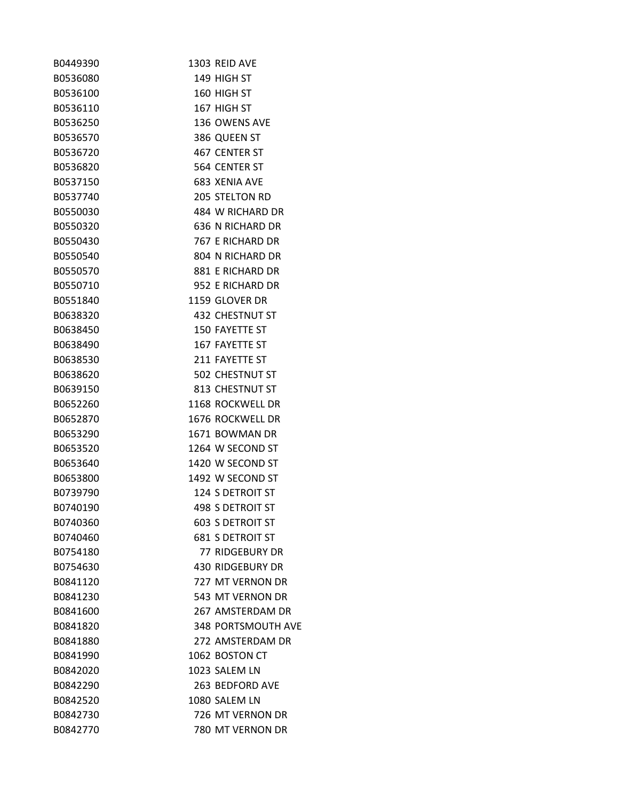| B0449390 | 1303 REID AVE             |
|----------|---------------------------|
| B0536080 | 149 HIGH ST               |
| B0536100 | 160 HIGH ST               |
| B0536110 | 167 HIGH ST               |
| B0536250 | 136 OWENS AVE             |
| B0536570 | 386 QUEEN ST              |
| B0536720 | 467 CENTER ST             |
| B0536820 | 564 CENTER ST             |
| B0537150 | 683 XENIA AVE             |
| B0537740 | <b>205 STELTON RD</b>     |
| B0550030 | 484 W RICHARD DR          |
| B0550320 | 636 N RICHARD DR          |
| B0550430 | 767 E RICHARD DR          |
| B0550540 | 804 N RICHARD DR          |
| B0550570 | 881 E RICHARD DR          |
| B0550710 | 952 E RICHARD DR          |
| B0551840 | 1159 GLOVER DR            |
| B0638320 | 432 CHESTNUT ST           |
| B0638450 | 150 FAYETTE ST            |
| B0638490 | 167 FAYETTE ST            |
| B0638530 | 211 FAYETTE ST            |
| B0638620 | 502 CHESTNUT ST           |
| B0639150 | 813 CHESTNUT ST           |
| B0652260 | 1168 ROCKWELL DR          |
| B0652870 | 1676 ROCKWELL DR          |
| B0653290 | 1671 BOWMAN DR            |
| B0653520 | 1264 W SECOND ST          |
| B0653640 | 1420 W SECOND ST          |
| B0653800 | 1492 W SECOND ST          |
| B0739790 | <b>124 S DETROIT ST</b>   |
| B0740190 | 498 S DETROIT ST          |
| B0740360 | <b>603 S DETROIT ST</b>   |
| B0740460 | <b>681 S DETROIT ST</b>   |
| B0754180 | <b>77 RIDGEBURY DR</b>    |
| B0754630 | 430 RIDGEBURY DR          |
| B0841120 | 727 MT VERNON DR          |
| B0841230 | 543 MT VERNON DR          |
| B0841600 | 267 AMSTERDAM DR          |
| B0841820 | <b>348 PORTSMOUTH AVE</b> |
| B0841880 | 272 AMSTERDAM DR          |
| B0841990 | 1062 BOSTON CT            |
| B0842020 | 1023 SALEM LN             |
| B0842290 | 263 BEDFORD AVE           |
| B0842520 | 1080 SALEM LN             |
| B0842730 | 726 MT VERNON DR          |
| B0842770 | 780 MT VERNON DR          |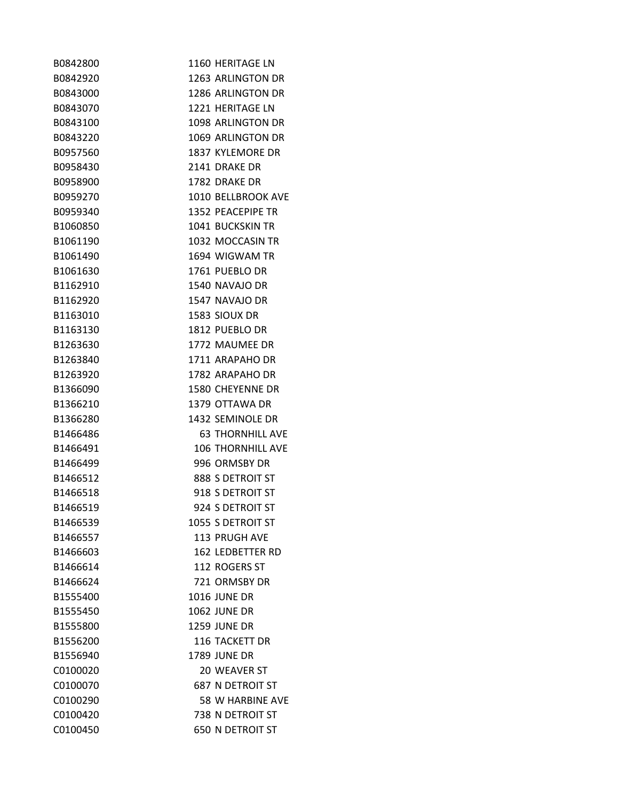| B0842800 | 1160 HERITAGE LN         |
|----------|--------------------------|
| B0842920 | 1263 ARLINGTON DR        |
| B0843000 | 1286 ARLINGTON DR        |
| B0843070 | 1221 HERITAGE LN         |
| B0843100 | 1098 ARLINGTON DR        |
| B0843220 | 1069 ARLINGTON DR        |
| B0957560 | 1837 KYLEMORE DR         |
| B0958430 | 2141 DRAKE DR            |
| B0958900 | 1782 DRAKE DR            |
| B0959270 | 1010 BELLBROOK AVE       |
| B0959340 | 1352 PEACEPIPE TR        |
| B1060850 | <b>1041 BUCKSKIN TR</b>  |
| B1061190 | 1032 MOCCASIN TR         |
| B1061490 | 1694 WIGWAM TR           |
| B1061630 | 1761 PUEBLO DR           |
| B1162910 | 1540 NAVAJO DR           |
| B1162920 | 1547 NAVAJO DR           |
| B1163010 | 1583 SIOUX DR            |
| B1163130 | 1812 PUEBLO DR           |
| B1263630 | 1772 MAUMEE DR           |
| B1263840 | 1711 ARAPAHO DR          |
| B1263920 | 1782 ARAPAHO DR          |
| B1366090 | 1580 CHEYENNE DR         |
| B1366210 | 1379 OTTAWA DR           |
| B1366280 | 1432 SEMINOLE DR         |
| B1466486 | <b>63 THORNHILL AVE</b>  |
| B1466491 | <b>106 THORNHILL AVE</b> |
| B1466499 | 996 ORMSBY DR            |
| B1466512 | 888 S DETROIT ST         |
| B1466518 | 918 S DETROIT ST         |
| B1466519 | 924 S DETROIT ST         |
| B1466539 | 1055 S DETROIT ST        |
| B1466557 | <b>113 PRUGH AVE</b>     |
| B1466603 | <b>162 LEDBETTER RD</b>  |
| B1466614 | 112 ROGERS ST            |
| B1466624 | 721 ORMSBY DR            |
| B1555400 | <b>1016 JUNE DR</b>      |
| B1555450 | <b>1062 JUNE DR</b>      |
| B1555800 | <b>1259 JUNE DR</b>      |
| B1556200 | <b>116 TACKETT DR</b>    |
| B1556940 | <b>1789 JUNE DR</b>      |
| C0100020 | 20 WEAVER ST             |
| C0100070 | <b>687 N DETROIT ST</b>  |
| C0100290 | 58 W HARBINE AVE         |
| C0100420 | 738 N DETROIT ST         |
| C0100450 | <b>650 N DETROIT ST</b>  |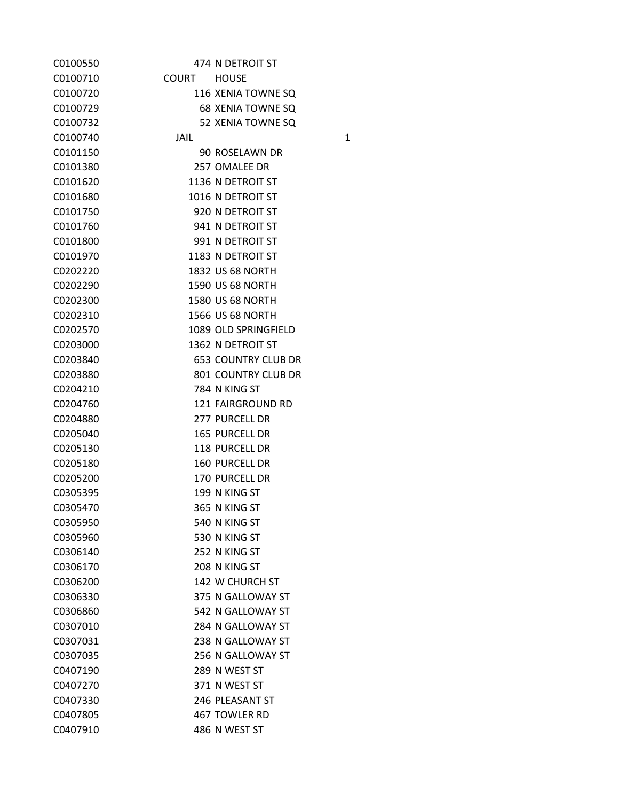| C0100550 |             | 474 N DETROIT ST           |
|----------|-------------|----------------------------|
| C0100710 | COURT HOUSE |                            |
| C0100720 |             | 116 XENIA TOWNE SQ         |
| C0100729 |             | <b>68 XENIA TOWNE SQ</b>   |
| C0100732 |             | 52 XENIA TOWNE SQ          |
| C0100740 | JAIL        | $\mathbf{1}$               |
| C0101150 |             | 90 ROSELAWN DR             |
| C0101380 |             | 257 OMALEE DR              |
| C0101620 |             | 1136 N DETROIT ST          |
| C0101680 |             | 1016 N DETROIT ST          |
| C0101750 |             | 920 N DETROIT ST           |
| C0101760 |             | 941 N DETROIT ST           |
| C0101800 |             | 991 N DETROIT ST           |
| C0101970 |             | 1183 N DETROIT ST          |
| C0202220 |             | <b>1832 US 68 NORTH</b>    |
| C0202290 |             | <b>1590 US 68 NORTH</b>    |
| C0202300 |             | <b>1580 US 68 NORTH</b>    |
| C0202310 |             | <b>1566 US 68 NORTH</b>    |
| C0202570 |             | 1089 OLD SPRINGFIELD       |
| C0203000 |             | 1362 N DETROIT ST          |
| C0203840 |             | <b>653 COUNTRY CLUB DR</b> |
| C0203880 |             | 801 COUNTRY CLUB DR        |
| C0204210 |             | 784 N KING ST              |
| C0204760 |             | 121 FAIRGROUND RD          |
| C0204880 |             | 277 PURCELL DR             |
| C0205040 |             | <b>165 PURCELL DR</b>      |
| C0205130 |             | 118 PURCELL DR             |
| C0205180 |             | <b>160 PURCELL DR</b>      |
| C0205200 |             | <b>170 PURCELL DR</b>      |
| C0305395 |             | 199 N KING ST              |
| C0305470 |             | 365 N KING ST              |
| C0305950 |             | 540 N KING ST              |
| C0305960 |             | 530 N KING ST              |
| C0306140 |             | 252 N KING ST              |
| C0306170 |             | 208 N KING ST              |
| C0306200 |             | 142 W CHURCH ST            |
| C0306330 |             | 375 N GALLOWAY ST          |
| C0306860 |             | 542 N GALLOWAY ST          |
| C0307010 |             | 284 N GALLOWAY ST          |
| C0307031 |             | 238 N GALLOWAY ST          |
| C0307035 |             | 256 N GALLOWAY ST          |
| C0407190 |             | 289 N WEST ST              |
| C0407270 |             | 371 N WEST ST              |
| C0407330 |             | 246 PLEASANT ST            |
| C0407805 |             | 467 TOWLER RD              |
| C0407910 |             | 486 N WEST ST              |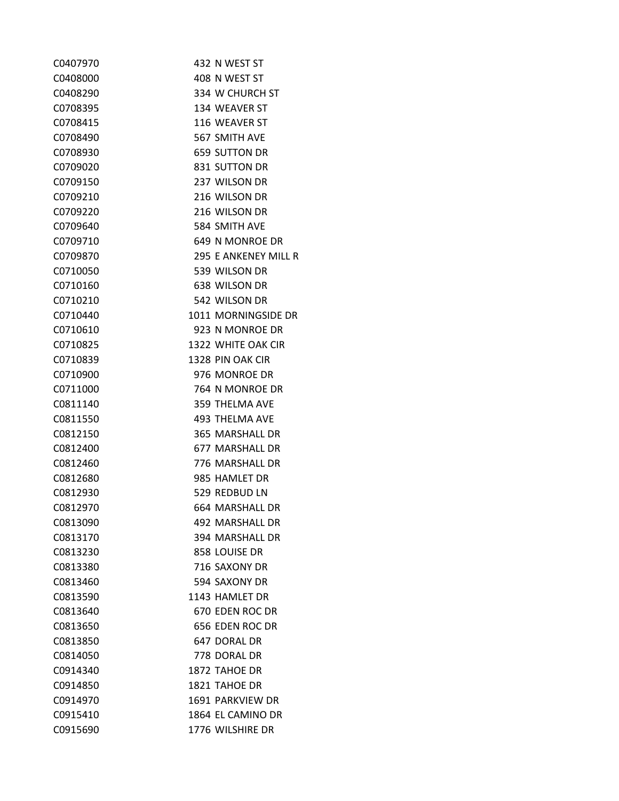| C0407970 | 432 N WEST ST          |
|----------|------------------------|
| C0408000 | 408 N WEST ST          |
| C0408290 | 334 W CHURCH ST        |
| C0708395 | 134 WEAVER ST          |
| C0708415 | 116 WEAVER ST          |
| C0708490 | 567 SMITH AVE          |
| C0708930 | <b>659 SUTTON DR</b>   |
| C0709020 | 831 SUTTON DR          |
| C0709150 | 237 WILSON DR          |
| C0709210 | 216 WILSON DR          |
| C0709220 | 216 WILSON DR          |
| C0709640 | 584 SMITH AVE          |
| C0709710 | 649 N MONROE DR        |
| C0709870 | 295 E ANKENEY MILL R   |
| C0710050 | 539 WILSON DR          |
| C0710160 | 638 WILSON DR          |
| C0710210 | 542 WILSON DR          |
| C0710440 | 1011 MORNINGSIDE DR    |
| C0710610 | 923 N MONROE DR        |
| C0710825 | 1322 WHITE OAK CIR     |
| C0710839 | 1328 PIN OAK CIR       |
| C0710900 | 976 MONROE DR          |
| C0711000 | 764 N MONROE DR        |
| C0811140 | 359 THELMA AVE         |
| C0811550 | <b>493 THELMA AVE</b>  |
| C0812150 | 365 MARSHALL DR        |
| C0812400 | <b>677 MARSHALL DR</b> |
| C0812460 | 776 MARSHALL DR        |
| C0812680 | 985 HAMLET DR          |
| C0812930 | 529 REDBUD LN          |
| C0812970 | 664 MARSHALL DR        |
| C0813090 | 492 MARSHALL DR        |
| C0813170 | 394 MARSHALL DR        |
| C0813230 | 858 LOUISE DR          |
| C0813380 | 716 SAXONY DR          |
| C0813460 | 594 SAXONY DR          |
| C0813590 | 1143 HAMLET DR         |
| C0813640 | 670 EDEN ROC DR        |
| C0813650 | 656 EDEN ROC DR        |
| C0813850 | 647 DORAL DR           |
| C0814050 | 778 DORAL DR           |
| C0914340 | 1872 TAHOE DR          |
| C0914850 | 1821 TAHOE DR          |
| C0914970 | 1691 PARKVIEW DR       |
| C0915410 | 1864 EL CAMINO DR      |
| C0915690 | 1776 WILSHIRE DR       |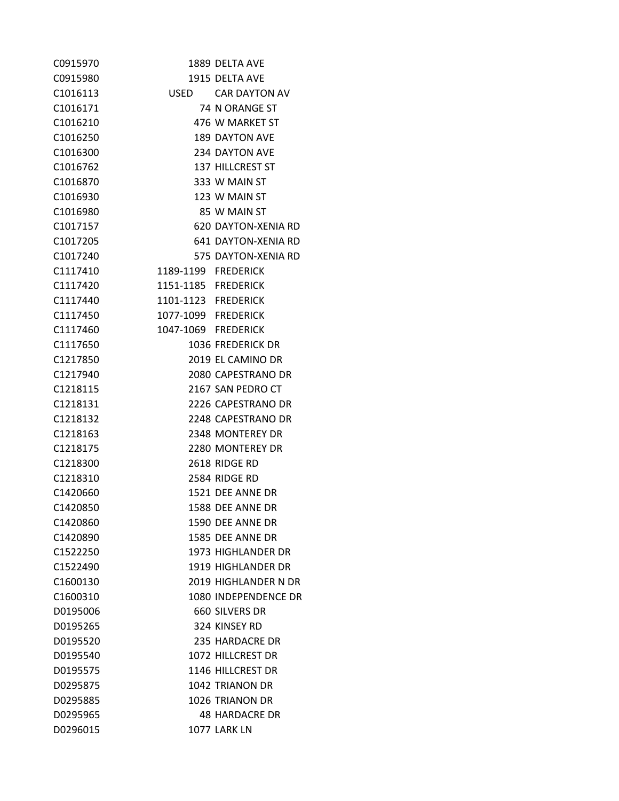| C0915970             |                     | 1889 DELTA AVE         |
|----------------------|---------------------|------------------------|
| C0915980             |                     | 1915 DELTA AVE         |
| C1016113             |                     | USED CAR DAYTON AV     |
| C1016171             |                     | 74 N ORANGE ST         |
| C <sub>1016210</sub> |                     | 476 W MARKET ST        |
| C <sub>1016250</sub> |                     | 189 DAYTON AVE         |
| C <sub>1016300</sub> |                     | 234 DAYTON AVE         |
| C1016762             |                     | 137 HILLCREST ST       |
| C <sub>1016870</sub> |                     | 333 W MAIN ST          |
| C <sub>1016930</sub> |                     | 123 W MAIN ST          |
| C1016980             |                     | 85 W MAIN ST           |
| C <sub>1017157</sub> |                     | 620 DAYTON-XENIA RD    |
| C <sub>1017205</sub> |                     | 641 DAYTON-XENIA RD    |
| C1017240             |                     | 575 DAYTON-XENIA RD    |
| C1117410             | 1189-1199 FREDERICK |                        |
| C1117420             | 1151-1185 FREDERICK |                        |
| C1117440             | 1101-1123 FREDERICK |                        |
| C1117450             | 1077-1099 FREDERICK |                        |
| C1117460             | 1047-1069 FREDERICK |                        |
| C1117650             |                     | 1036 FREDERICK DR      |
| C1217850             |                     | 2019 EL CAMINO DR      |
| C1217940             |                     | 2080 CAPESTRANO DR     |
| C1218115             |                     | 2167 SAN PEDRO CT      |
| C1218131             |                     | 2226 CAPESTRANO DR     |
| C1218132             |                     | 2248 CAPESTRANO DR     |
| C1218163             |                     | 2348 MONTEREY DR       |
| C1218175             |                     | 2280 MONTEREY DR       |
| C1218300             |                     | 2618 RIDGE RD          |
| C1218310             |                     | 2584 RIDGE RD          |
| C1420660             |                     | 1521 DEE ANNE DR       |
| C1420850             |                     | 1588 DEE ANNE DR       |
| C1420860             |                     | 1590 DEE ANNE DR       |
| C1420890             |                     | 1585 DEE ANNE DR       |
| C1522250             |                     | 1973 HIGHLANDER DR     |
| C1522490             |                     | 1919 HIGHLANDER DR     |
| C1600130             |                     | 2019 HIGHLANDER N DR   |
| C1600310             |                     | 1080 INDEPENDENCE DR   |
| D0195006             |                     | 660 SILVERS DR         |
| D0195265             |                     | 324 KINSEY RD          |
| D0195520             |                     | 235 HARDACRE DR        |
| D0195540             |                     | 1072 HILLCREST DR      |
| D0195575             |                     | 1146 HILLCREST DR      |
| D0295875             |                     | <b>1042 TRIANON DR</b> |
| D0295885             |                     | 1026 TRIANON DR        |
| D0295965             |                     | <b>48 HARDACRE DR</b>  |
| D0296015             |                     | <b>1077 LARK LN</b>    |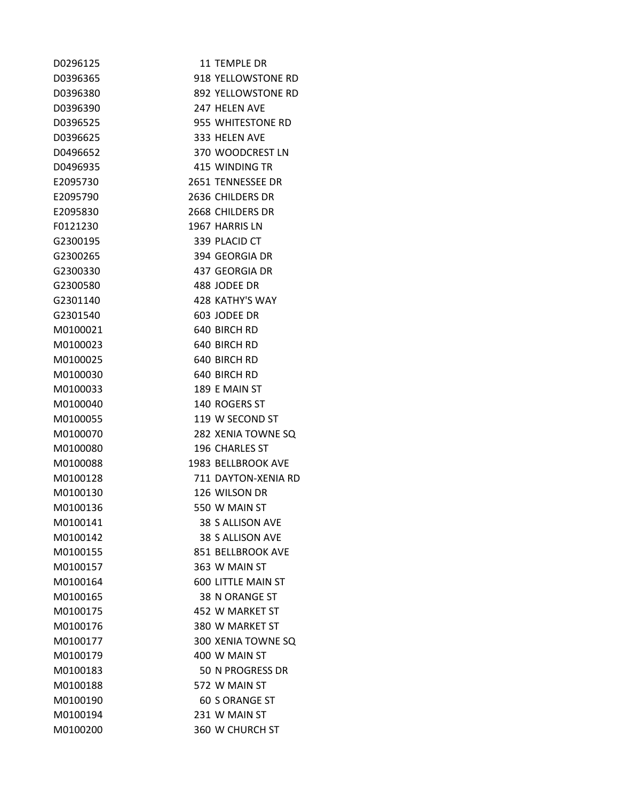| D0296125 | 11 TEMPLE DR              |
|----------|---------------------------|
| D0396365 | 918 YELLOWSTONE RD        |
| D0396380 | 892 YELLOWSTONE RD        |
| D0396390 | 247 HELEN AVE             |
| D0396525 | 955 WHITESTONE RD         |
| D0396625 | 333 HELEN AVE             |
| D0496652 | 370 WOODCREST LN          |
| D0496935 | 415 WINDING TR            |
| E2095730 | 2651 TENNESSEE DR         |
| E2095790 | 2636 CHILDERS DR          |
| E2095830 | 2668 CHILDERS DR          |
| F0121230 | 1967 HARRIS LN            |
| G2300195 | 339 PLACID CT             |
| G2300265 | 394 GEORGIA DR            |
| G2300330 | 437 GEORGIA DR            |
| G2300580 | 488 JODEE DR              |
| G2301140 | 428 KATHY'S WAY           |
| G2301540 | 603 JODEE DR              |
| M0100021 | 640 BIRCH RD              |
| M0100023 | 640 BIRCH RD              |
| M0100025 | 640 BIRCH RD              |
| M0100030 | 640 BIRCH RD              |
| M0100033 | 189 E MAIN ST             |
| M0100040 | 140 ROGERS ST             |
| M0100055 | 119 W SECOND ST           |
| M0100070 | 282 XENIA TOWNE SQ        |
| M0100080 | <b>196 CHARLES ST</b>     |
| M0100088 | 1983 BELLBROOK AVE        |
| M0100128 | 711 DAYTON-XENIA RD       |
| M0100130 | 126 WILSON DR             |
| M0100136 | 550 W MAIN ST             |
| M0100141 | 38 S ALLISON AVE          |
| M0100142 | 38 S ALLISON AVE          |
| M0100155 | 851 BELLBROOK AVE         |
| M0100157 | 363 W MAIN ST             |
| M0100164 | <b>600 LITTLE MAIN ST</b> |
| M0100165 | 38 N ORANGE ST            |
| M0100175 | 452 W MARKET ST           |
| M0100176 | 380 W MARKET ST           |
| M0100177 | 300 XENIA TOWNE SQ        |
| M0100179 | 400 W MAIN ST             |
| M0100183 | 50 N PROGRESS DR          |
| M0100188 | 572 W MAIN ST             |
| M0100190 | <b>60 S ORANGE ST</b>     |
| M0100194 | 231 W MAIN ST             |
| M0100200 | 360 W CHURCH ST           |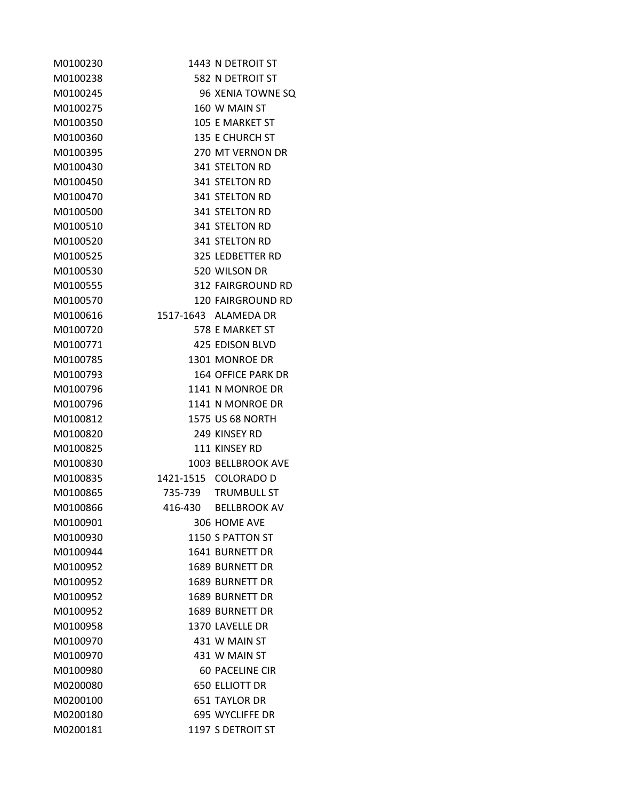| M0100230 |         | 1443 N DETROIT ST         |
|----------|---------|---------------------------|
| M0100238 |         | 582 N DETROIT ST          |
| M0100245 |         | 96 XENIA TOWNE SQ         |
| M0100275 |         | 160 W MAIN ST             |
| M0100350 |         | 105 E MARKET ST           |
| M0100360 |         | <b>135 E CHURCH ST</b>    |
| M0100395 |         | 270 MT VERNON DR          |
| M0100430 |         | 341 STELTON RD            |
| M0100450 |         | <b>341 STELTON RD</b>     |
| M0100470 |         | 341 STELTON RD            |
| M0100500 |         | 341 STELTON RD            |
| M0100510 |         | <b>341 STELTON RD</b>     |
| M0100520 |         | <b>341 STELTON RD</b>     |
| M0100525 |         | 325 LEDBETTER RD          |
| M0100530 |         | 520 WILSON DR             |
| M0100555 |         | <b>312 FAIRGROUND RD</b>  |
| M0100570 |         | <b>120 FAIRGROUND RD</b>  |
| M0100616 |         | 1517-1643 ALAMEDA DR      |
| M0100720 |         | 578 E MARKET ST           |
| M0100771 |         | <b>425 EDISON BLVD</b>    |
| M0100785 |         | 1301 MONROE DR            |
| M0100793 |         | <b>164 OFFICE PARK DR</b> |
| M0100796 |         | 1141 N MONROE DR          |
| M0100796 |         | 1141 N MONROE DR          |
| M0100812 |         | <b>1575 US 68 NORTH</b>   |
| M0100820 |         | 249 KINSEY RD             |
| M0100825 |         | 111 KINSEY RD             |
| M0100830 |         | 1003 BELLBROOK AVE        |
| M0100835 |         | 1421-1515 COLORADO D      |
| M0100865 |         | 735-739 TRUMBULL ST       |
| M0100866 | 416-430 | <b>BELLBROOK AV</b>       |
| M0100901 |         | 306 HOME AVE              |
| M0100930 |         | 1150 S PATTON ST          |
| M0100944 |         | 1641 BURNETT DR           |
| M0100952 |         | 1689 BURNETT DR           |
| M0100952 |         | 1689 BURNETT DR           |
| M0100952 |         | <b>1689 BURNETT DR</b>    |
| M0100952 |         | <b>1689 BURNETT DR</b>    |
| M0100958 |         | 1370 LAVELLE DR           |
| M0100970 |         | 431 W MAIN ST             |
| M0100970 |         | 431 W MAIN ST             |
| M0100980 |         | 60 PACELINE CIR           |
| M0200080 |         | <b>650 ELLIOTT DR</b>     |
| M0200100 |         | <b>651 TAYLOR DR</b>      |
| M0200180 |         | 695 WYCLIFFE DR           |
| M0200181 |         | 1197 S DETROIT ST         |